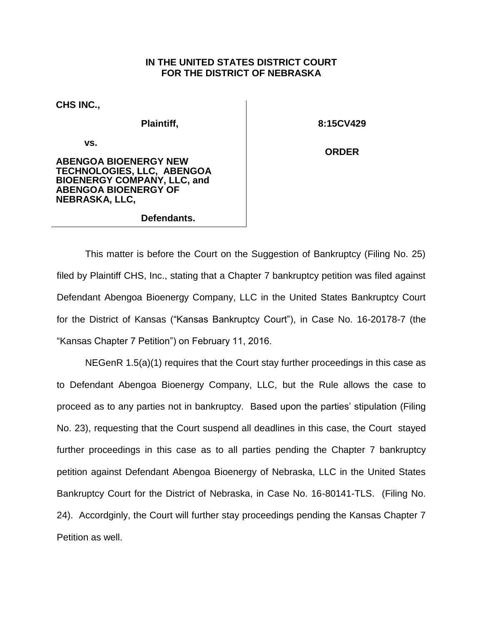## **IN THE UNITED STATES DISTRICT COURT FOR THE DISTRICT OF NEBRASKA**

**CHS INC.,**

**Plaintiff,** 

**vs.** 

**8:15CV429**

**ORDER**

**ABENGOA BIOENERGY NEW TECHNOLOGIES, LLC, ABENGOA BIOENERGY COMPANY, LLC, and ABENGOA BIOENERGY OF NEBRASKA, LLC,**

## **Defendants.**

This matter is before the Court on the Suggestion of Bankruptcy (Filing No. 25) filed by Plaintiff CHS, Inc., stating that a Chapter 7 bankruptcy petition was filed against Defendant Abengoa Bioenergy Company, LLC in the United States Bankruptcy Court for the District of Kansas ("Kansas Bankruptcy Court"), in Case No. 16-20178-7 (the "Kansas Chapter 7 Petition") on February 11, 2016.

NEGenR 1.5(a)(1) requires that the Court stay further proceedings in this case as to Defendant Abengoa Bioenergy Company, LLC, but the Rule allows the case to proceed as to any parties not in bankruptcy. Based upon the parties' stipulation (Filing No. 23), requesting that the Court suspend all deadlines in this case, the Court stayed further proceedings in this case as to all parties pending the Chapter 7 bankruptcy petition against Defendant Abengoa Bioenergy of Nebraska, LLC in the United States Bankruptcy Court for the District of Nebraska, in Case No. 16-80141-TLS. (Filing No. 24). Accordginly, the Court will further stay proceedings pending the Kansas Chapter 7 Petition as well.